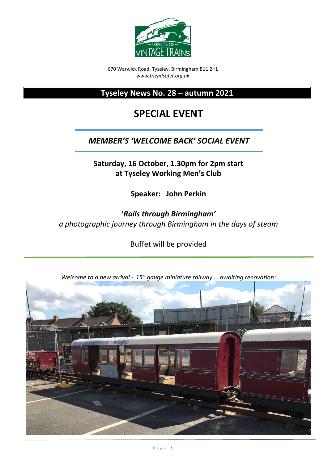

670 Warwick Road, Tyseley, Birmingham B11 2HL *www.friendsofvt.org.uk*

**Tyseley News No. 28 – autumn 2021**

# **SPECIAL EVENT**

# *MEMBER'S 'WELCOME BACK' SOCIAL EVENT*

**Saturday, 16 October, 1.30pm for 2pm start at Tyseley Working Men's Club**

**Speaker: John Perkin**

**'***Rails through Birmingham' a photographic journey through Birmingham in the days of steam*

Buffet will be provided



*Welcome to a new arrival - 15" gauge miniature railway … awaiting renovation:*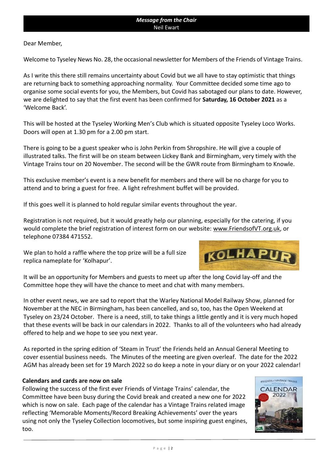Dear Member,

Welcome to Tyseley News No. 28, the occasional newsletter for Members of the Friends of Vintage Trains.

As I write this there still remains uncertainty about Covid but we all have to stay optimistic that things are returning back to something approaching normality. Your Committee decided some time ago to organise some social events for you, the Members, but Covid has sabotaged our plans to date. However, we are delighted to say that the first event has been confirmed for **Saturday, 16 October 2021** as a 'Welcome Back'.

This will be hosted at the Tyseley Working Men's Club which is situated opposite Tyseley Loco Works. Doors will open at 1.30 pm for a 2.00 pm start.

There is going to be a guest speaker who is John Perkin from Shropshire. He will give a couple of illustrated talks. The first will be on steam between Lickey Bank and Birmingham, very timely with the Vintage Trains tour on 20 November. The second will be the GWR route from Birmingham to Knowle.

This exclusive member's event is a new benefit for members and there will be no charge for you to attend and to bring a guest for free. A light refreshment buffet will be provided.

If this goes well it is planned to hold regular similar events throughout the year.

Registration is not required, but it would greatly help our planning, especially for the catering, if you would complete the brief registration of interest form on our website: [www.FriendsofVT.org.uk,](http://www.friendsofvt.org.uk/) or telephone 07384 471552.

We plan to hold a raffle where the top prize will be a full size replica nameplate for 'Kolhapur'.



It will be an opportunity for Members and guests to meet up after the long Covid lay-off and the Committee hope they will have the chance to meet and chat with many members.

In other event news, we are sad to report that the Warley National Model Railway Show, planned for November at the NEC in Birmingham, has been cancelled, and so, too, has the Open Weekend at Tyseley on 23/24 October. There is a need, still, to take things a little gently and it is very much hoped that these events will be back in our calendars in 2022. Thanks to all of the volunteers who had already offered to help and we hope to see you next year.

As reported in the spring edition of 'Steam in Trust' the Friends held an Annual General Meeting to cover essential business needs. The Minutes of the meeting are given overleaf. The date for the 2022 AGM has already been set for 19 March 2022 so do keep a note in your diary or on your 2022 calendar!

#### **Calendars and cards are now on sale**

Following the success of the first ever Friends of Vintage Trains' calendar, the Committee have been busy during the Covid break and created a new one for 2022 which is now on sale. Each page of the calendar has a Vintage Trains related image reflecting 'Memorable Moments/Record Breaking Achievements' over the years using not only the Tyseley Collection locomotives, but some inspiring guest engines, too.

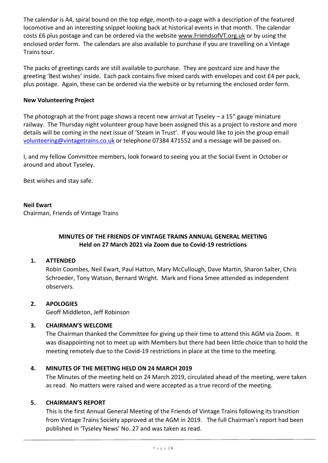The calendar is A4, spiral bound on the top edge, month-to-a-page with a description of the featured locomotive and an interesting snippet looking back at historical events in that month. The calendar costs £6 plus postage and can be ordered via the website [www.FriendsofVT.org.uk](http://www.friendsofvt.org.uk/) or by using the enclosed order form. The calendars are also available to purchase if you are travelling on a Vintage Trains tour.

The packs of greetings cards are still available to purchase. They are postcard size and have the greeting 'Best wishes' inside. Each pack contains five mixed cards with envelopes and cost £4 per pack, plus postage. Again, these can be ordered via the website or by returning the enclosed order form.

#### **New Volunteering Project**

The photograph at the front page shows a recent new arrival at Tyseley – a 15" gauge miniature railway. The Thursday night volunteer group have been assigned this as a project to restore and more details will be coming in the next issue of 'Steam in Trust'. If you would like to join the group email [volunteering@vintagetrains.co.uk](mailto:volunteering@vintagetrains.co.uk) or telephone 07384 471552 and a message will be passed on.

I, and my fellow Committee members, look forward to seeing you at the Social Event in October or around and about Tyseley.

Best wishes and stay safe.

#### **Neil Ewart**

Chairman, Friends of Vintage Trains

# **MINUTES OF THE FRIENDS OF VINTAGE TRAINS ANNUAL GENERAL MEETING Held on 27 March 2021 via Zoom due to Covid-19 restrictions**

# **1. ATTENDED**

Robin Coombes, Neil Ewart, Paul Hatton, Mary McCullough, Dave Martin, Sharon Salter, Chris Schroeder, Tony Watson, Bernard Wright. Mark and Fiona Smee attended as independent observers.

#### **2. APOLOGIES**

Geoff Middleton, Jeff Robinson

# **3. CHAIRMAN'S WELCOME**

The Chairman thanked the Committee for giving up their time to attend this AGM via Zoom. It was disappointing not to meet up with Members but there had been little choice than to hold the meeting remotely due to the Covid-19 restrictions in place at the time to the meeting.

#### **4. MINUTES OF THE MEETING HELD ON 24 MARCH 2019**

The Minutes of the meeting held on 24 March 2019, circulated ahead of the meeting, were taken as read. No matters were raised and were accepted as a true record of the meeting.

#### **5. CHAIRMAN'S REPORT**

This is the first Annual General Meeting of the Friends of Vintage Trains following its transition from Vintage Trains Society approved at the AGM in 2019. The full Chairman's report had been published in 'Tyseley News' No. 27 and was taken as read.